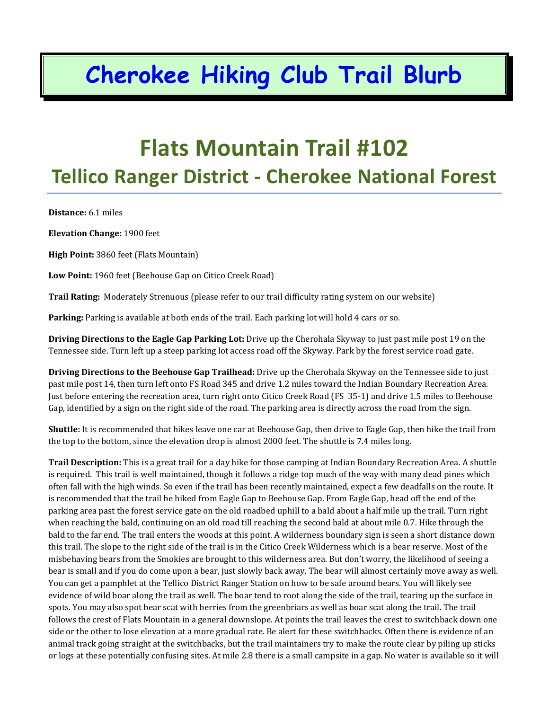### **Cherokee Hiking Club Trail Blurb**

#### **Flats Mountain Trail #102 Tellico Ranger District ‐ Cherokee National Forest**

**Distance:** 6.1 miles

**Elevation Change:** 1900 feet

**High Point:** 3860 feet (Flats Mountain)

**Low Point:** 1960 feet (Beehouse Gap on Citico Creek Road)

**Trail Rating:** Moderately Strenuous (please refer to our trail difficulty rating system on our website)

**Parking:** Parking is available at both ends of the trail. Each parking lot will hold 4 cars or so.

**Driving Directions to the Eagle Gap Parking Lot:** Drive up the Cherohala Skyway to just past mile post 19 on the Tennessee side. Turn left up a steep parking lot access road off the Skyway. Park by the forest service road gate.

**Driving Directions to the Beehouse Gap Trailhead:** Drive up the Cherohala Skyway on the Tennessee side to just past mile post 14, then turn left onto FS Road 345 and drive 1.2 miles toward the Indian Boundary Recreation Area. Just before entering the recreation area, turn right onto Citico Creek Road (FS 35‐1) and drive 1.5 miles to Beehouse Gap, identified by a sign on the right side of the road. The parking area is directly across the road from the sign.

**Shuttle:** It is recommended that hikes leave one car at Beehouse Gap, then drive to Eagle Gap, then hike the trail from the top to the bottom, since the elevation drop is almost 2000 feet. The shuttle is 7.4 miles long.

**Trail Description:** This is a great trail for a day hike for those camping at Indian Boundary Recreation Area. A shuttle is required. This trail is well maintained, though it follows a ridge top much of the way with many dead pines which often fall with the high winds. So even if the trail has been recently maintained, expect a few deadfalls on the route. It is recommended that the trail be hiked from Eagle Gap to Beehouse Gap. From Eagle Gap, head off the end of the parking area past the forest service gate on the old roadbed uphill to a bald about a half mile up the trail. Turn right when reaching the bald, continuing on an old road till reaching the second bald at about mile 0.7. Hike through the bald to the far end. The trail enters the woods at this point. A wilderness boundary sign is seen a short distance down this trail. The slope to the right side of the trail is in the Citico Creek Wilderness which is a bear reserve. Most of the misbehaving bears from the Smokies are brought to this wilderness area. But don't worry, the likelihood of seeing a bear is small and if you do come upon a bear, just slowly back away. The bear will almost certainly move away as well. You can get a pamphlet at the Tellico District Ranger Station on how to be safe around bears. You will likely see evidence of wild boar along the trail as well. The boar tend to root along the side of the trail, tearing up the surface in spots. You may also spot bear scat with berries from the greenbriars as well as boar scat along the trail. The trail follows the crest of Flats Mountain in a general downslope. At points the trail leaves the crest to switchback down one side or the other to lose elevation at a more gradual rate. Be alert for these switchbacks. Often there is evidence of an animal track going straight at the switchbacks, but the trail maintainers try to make the route clear by piling up sticks or logs at these potentially confusing sites. At mile 2.8 there is a small campsite in a gap. No water is available so it will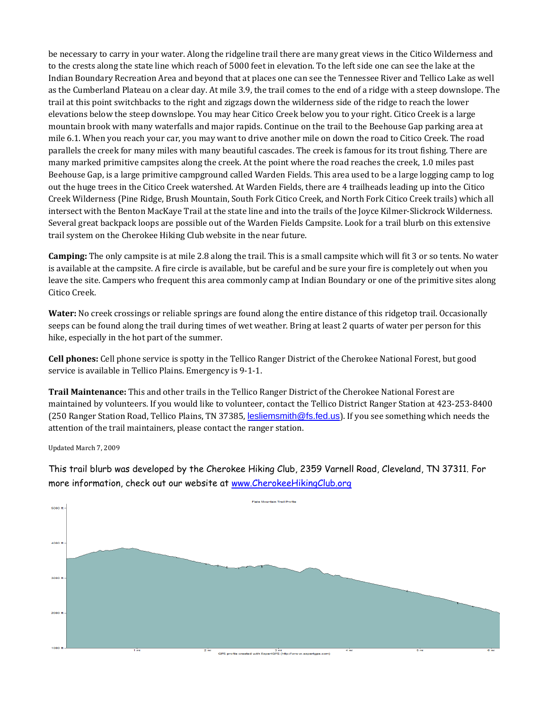be necessary to carry in your water. Along the ridgeline trail there are many great views in the Citico Wilderness and to the crests along the state line which reach of 5000 feet in elevation. To the left side one can see the lake at the Indian Boundary Recreation Area and beyond that at places one can see the Tennessee River and Tellico Lake as well as the Cumberland Plateau on a clear day. At mile 3.9, the trail comes to the end of a ridge with a steep downslope. The trail at this point switchbacks to the right and zigzags down the wilderness side of the ridge to reach the lower elevations below the steep downslope. You may hear Citico Creek below you to your right. Citico Creek is a large mountain brook with many waterfalls and major rapids. Continue on the trail to the Beehouse Gap parking area at mile 6.1. When you reach your car, you may want to drive another mile on down the road to Citico Creek. The road parallels the creek for many miles with many beautiful cascades. The creek is famous for its trout fishing. There are many marked primitive campsites along the creek. At the point where the road reaches the creek, 1.0 miles past Beehouse Gap, is a large primitive campground called Warden Fields. This area used to be a large logging camp to log out the huge trees in the Citico Creek watershed. At Warden Fields, there are 4 trailheads leading up into the Citico Creek Wilderness (Pine Ridge, Brush Mountain, South Fork Citico Creek, and North Fork Citico Creek trails) which all intersect with the Benton MacKaye Trail at the state line and into the trails of the Joyce Kilmer‐Slickrock Wilderness. Several great backpack loops are possible out of the Warden Fields Campsite. Look for a trail blurb on this extensive trail system on the Cherokee Hiking Club website in the near future.

**Camping:** The only campsite is at mile 2.8 along the trail. This is a small campsite which will fit 3 or so tents. No water is available at the campsite. A fire circle is available, but be careful and be sure your fire is completely out when you leave the site. Campers who frequent this area commonly camp at Indian Boundary or one of the primitive sites along Citico Creek.

**Water:** No creek crossings or reliable springs are found along the entire distance of this ridgetop trail. Occasionally seeps can be found along the trail during times of wet weather. Bring at least 2 quarts of water per person for this hike, especially in the hot part of the summer.

**Cell phones:** Cell phone service is spotty in the Tellico Ranger District of the Cherokee National Forest, but good service is available in Tellico Plains. Emergency is 9‐1‐1.

**Trail Maintenance:** This and other trails in the Tellico Ranger District of the Cherokee National Forest are maintained by volunteers. If you would like to volunteer, contact the Tellico District Ranger Station at 423‐253‐8400 (250 Ranger Station Road, Tellico Plains, TN 37385, lesliemsmith@fs.fed.us). If you see something which needs the attention of the trail maintainers, please contact the ranger station.

Updated March 7, 2009

This trail blurb was developed by the Cherokee Hiking Club, 2359 Varnell Road, Cleveland, TN 37311. For more information, check out our website at www.CherokeeHikingClub.org

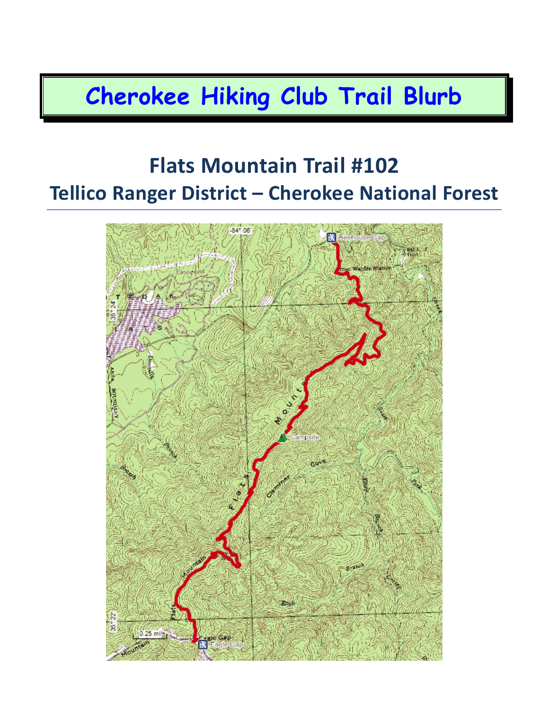# **Cherokee Hiking Club Trail Blurb**

#### **Flats Mountain Trail #102 Tellico Ranger District – Cherokee National Forest**